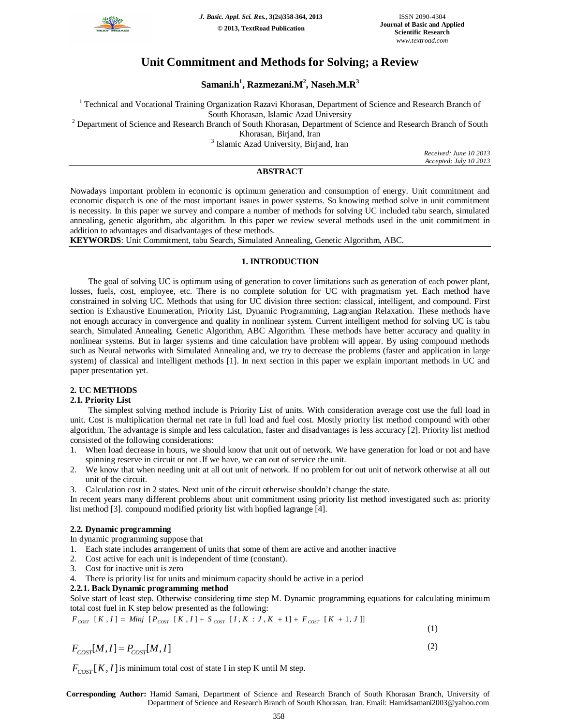

# **Unit Commitment and Methods for Solving; a Review**

**Samani.h<sup>1</sup> , Razmezani.M<sup>2</sup> , Naseh.M.R<sup>3</sup>**

<sup>1</sup> Technical and Vocational Training Organization Razavi Khorasan, Department of Science and Research Branch of

South Khorasan, Islamic Azad University

<sup>2</sup> Department of Science and Research Branch of South Khorasan, Department of Science and Research Branch of South

Khorasan, Birjand, Iran

<sup>3</sup> Islamic Azad University, Birjand, Iran

*Received: June 10 2013 Accepted: July 10 2013*

# **ABSTRACT**

Nowadays important problem in economic is optimum generation and consumption of energy. Unit commitment and economic dispatch is one of the most important issues in power systems. So knowing method solve in unit commitment is necessity. In this paper we survey and compare a number of methods for solving UC included tabu search, simulated annealing, genetic algorithm, abc algorithm. In this paper we review several methods used in the unit commitment in addition to advantages and disadvantages of these methods.

**KEYWORDS**: Unit Commitment, tabu Search, Simulated Annealing, Genetic Algorithm, ABC.

# **1. INTRODUCTION**

The goal of solving UC is optimum using of generation to cover limitations such as generation of each power plant, losses, fuels, cost, employee, etc. There is no complete solution for UC with pragmatism yet. Each method have constrained in solving UC. Methods that using for UC division three section: classical, intelligent, and compound. First section is Exhaustive Enumeration, Priority List, Dynamic Programming, Lagrangian Relaxation. These methods have not enough accuracy in convergence and quality in nonlinear system. Current intelligent method for solving UC is tabu search, Simulated Annealing, Genetic Algorithm, ABC Algorithm. These methods have better accuracy and quality in nonlinear systems. But in larger systems and time calculation have problem will appear. By using compound methods such as Neural networks with Simulated Annealing and, we try to decrease the problems (faster and application in large system) of classical and intelligent methods [1]. In next section in this paper we explain important methods in UC and paper presentation yet.

# **2. UC METHODS**

# **2.1. Priority List**

The simplest solving method include is Priority List of units. With consideration average cost use the full load in unit. Cost is multiplication thermal net rate in full load and fuel cost. Mostly priority list method compound with other algorithm. The advantage is simple and less calculation, faster and disadvantages is less accuracy [2]. Priority list method consisted of the following considerations:

- 1. When load decrease in hours, we should know that unit out of network. We have generation for load or not and have spinning reserve in circuit or not .If we have, we can out of service the unit.
- 2. We know that when needing unit at all out unit of network. If no problem for out unit of network otherwise at all out unit of the circuit.
- 3. Calculation cost in 2 states. Next unit of the circuit otherwise shouldn't change the state.

In recent years many different problems about unit commitment using priority list method investigated such as: priority list method [3]. compound modified priority list with hopfied lagrange [4].

# **2.2. Dynamic programming**

In dynamic programming suppose that

- 1. Each state includes arrangement of units that some of them are active and another inactive
- 2. Cost active for each unit is independent of time (constant).
- 3. Cost for inactive unit is zero
- 4. There is priority list for units and minimum capacity should be active in a period

# **2.2.1. Back Dynamic programming method**

Solve start of least step. Otherwise considering time step M. Dynamic programming equations for calculating minimum total cost fuel in K step below presented as the following:

$$
F_{\text{COST}} \ [K, I] = \text{Minj} \ [P_{\text{COST}} \ [K, I] + S_{\text{COST}} \ [I, K : J, K + 1] + F_{\text{COST}} \ [K + 1, J]] \tag{1}
$$

$$
F_{\text{COST}}[M,I] = P_{\text{COST}}[M,I] \tag{2}
$$

 $F_{COST}[K, I]$  is minimum total cost of state I in step K until M step.

**Corresponding Author:** Hamid Samani, Department of Science and Research Branch of South Khorasan Branch, University of Department of Science and Research Branch of South Khorasan, Iran. Email: Hamidsamani2003@yahoo.com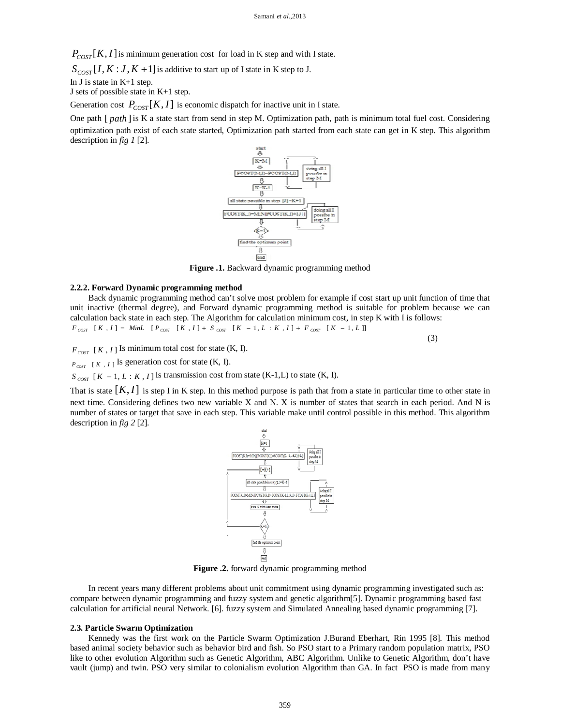$P_{\text{COST}}[K, I]$  is minimum generation cost for load in K step and with I state.

 $S_{COST}[I, K: J, K+1]$  is additive to start up of I state in K step to J.

In J is state in K+1 step.

J sets of possible state in K+1 step.

Generation cost  $P_{COST}[K, I]$  is economic dispatch for inactive unit in I state.

One path [ *path* ]is K a state start from send in step M. Optimization path, path is minimum total fuel cost. Considering optimization path exist of each state started, Optimization path started from each state can get in K step. This algorithm description in *fig 1* [2].



**Figure .1.** Backward dynamic programming method

### **2.2.2. Forward Dynamic programming method**

Back dynamic programming method can't solve most problem for example if cost start up unit function of time that unit inactive (thermal degree), and Forward dynamic programming method is suitable for problem because we can calculation back state in each step. The Algorithm for calculation minimum cost, in step K with I is follows:  $F_{COST}$   $[K, I] = MinL$   $[P_{COST}$   $[K, I] + S_{COST}$   $[K - 1, L : K, I] + F_{COST}$   $[K - 1, L]]$ 

(3)

 $F_{\text{COST}}$  [*K*, *I*] Is minimum total cost for state (K, I).

 $P_{\text{corr}}$  [*K*, *I*] Is generation cost for state (K, I).

 $S_{COST}$   $[K - 1, L : K, I]$  Is transmission cost from state (K-1,L) to state (K, I).

That is state  $[K, I]$  is step I in K step. In this method purpose is path that from a state in particular time to other state in next time. Considering defines two new variable X and N. X is number of states that search in each period. And N is number of states or target that save in each step. This variable make until control possible in this method. This algorithm description in *fig 2* [2].



**Figure .2.** forward dynamic programming method

In recent years many different problems about unit commitment using dynamic programming investigated such as: compare between dynamic programming and fuzzy system and genetic algorithm[5]. Dynamic programming based fast calculation for artificial neural Network. [6]. fuzzy system and Simulated Annealing based dynamic programming [7].

#### **2.3. Particle Swarm Optimization**

Kennedy was the first work on the Particle Swarm Optimization J.Burand Eberhart, Rin 1995 [8]. This method based animal society behavior such as behavior bird and fish. So PSO start to a Primary random population matrix, PSO like to other evolution Algorithm such as Genetic Algorithm, ABC Algorithm. Unlike to Genetic Algorithm, don't have vault (jump) and twin. PSO very similar to colonialism evolution Algorithm than GA. In fact PSO is made from many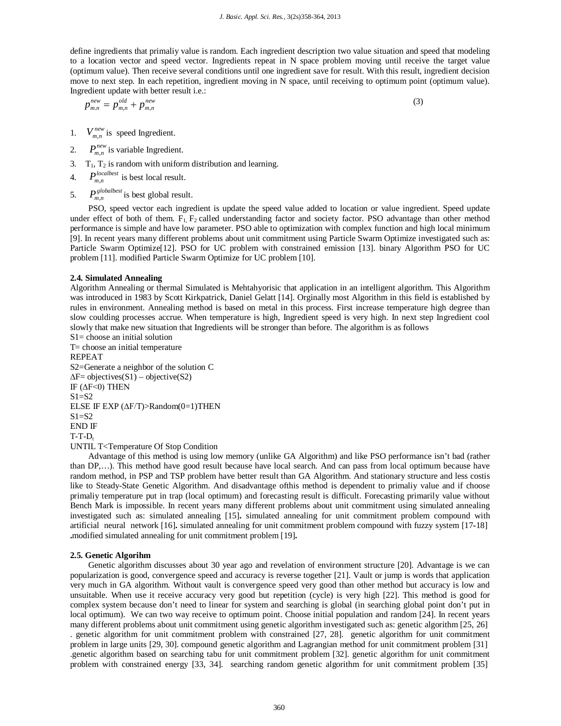define ingredients that primaliy value is random. Each ingredient description two value situation and speed that modeling to a location vector and speed vector. Ingredients repeat in N space problem moving until receive the target value (optimum value). Then receive several conditions until one ingredient save for result. With this result, ingredient decision move to next step. In each repetition, ingredient moving in N space, until receiving to optimum point (optimum value). Ingredient update with better result i.e.:

$$
p_{m,n}^{new} = p_{m,n}^{old} + p_{m,n}^{new}
$$

(3)

- 1.  $V_{m,n}^{new}$  is speed Ingredient.
- 2.  $P_{m,n}^{new}$  is variable Ingredient.
- 3.  $T_1$ ,  $T_2$  is random with uniform distribution and learning.
- 4.  $P_{m,n}^{localbest}$  is best local result.
- 5.  $P_{m,n}^{globalbest}$  is best global result.

PSO, speed vector each ingredient is update the speed value added to location or value ingredient. Speed update under effect of both of them.  $F_1$ ,  $F_2$  called understanding factor and society factor. PSO advantage than other method performance is simple and have low parameter. PSO able to optimization with complex function and high local minimum [9]. In recent years many different problems about unit commitment using Particle Swarm Optimize investigated such as: Particle Swarm Optimize[12]. PSO for UC problem with constrained emission [13]. binary Algorithm PSO for UC problem [11]. modified Particle Swarm Optimize for UC problem [10].

#### **2.4. Simulated Annealing**

Algorithm Annealing or thermal Simulated is Mehtahyorisic that application in an intelligent algorithm. This Algorithm was introduced in 1983 by Scott Kirkpatrick, Daniel Gelatt [14]. Orginally most Algorithm in this field is established by rules in environment. Annealing method is based on metal in this process. First increase temperature high degree than slow coulding processes accrue. When temperature is high, Ingredient speed is very high. In next step Ingredient cool slowly that make new situation that Ingredients will be stronger than before. The algorithm is as follows

S1= choose an initial solution T= choose an initial temperature REPEAT S2=Generate a neighbor of the solution C  $\Delta F$ = objectives(S1) – objective(S2) IF ( $\Delta$ F<0) THEN  $S1 = S2$ ELSE IF EXP ( $\Delta$ F/T)>Random(0=1)THEN  $S1 = S2$ END IF  $T-T-D_t$ UNTIL T<Temperature Of Stop Condition

Advantage of this method is using low memory (unlike GA Algorithm) and like PSO performance isn't bad (rather than DP,…). This method have good result because have local search. And can pass from local optimum because have random method, in PSP and TSP problem have better result than GA Algorithm. And stationary structure and less costis like to Steady-State Genetic Algorithm. And disadvantage ofthis method is dependent to primaliy value and if choose primaliy temperature put in trap (local optimum) and forecasting result is difficult. Forecasting primarily value without Bench Mark is impossible. In recent years many different problems about unit commitment using simulated annealing investigated such as: simulated annealing [15]**.** simulated annealing for unit commitment problem compound with artificial neural network [16]**.** simulated annealing for unit commitment problem compound with fuzzy system [17**-**18] **.**modified simulated annealing for unit commitment problem [19]**.**

### **2.5. Genetic Algorihm**

Genetic algorithm discusses about 30 year ago and revelation of environment structure [20]. Advantage is we can popularization is good, convergence speed and accuracy is reverse together [21]. Vault or jump is words that application very much in GA algorithm. Without vault is convergence speed very good than other method but accuracy is low and unsuitable. When use it receive accuracy very good but repetition (cycle) is very high [22]. This method is good for complex system because don't need to linear for system and searching is global (in searching global point don't put in local optimum). We can two way receive to optimum point. Choose initial population and random [24]. In recent years many different problems about unit commitment using genetic algorithm investigated such as: genetic algorithm [25, 26] . genetic algorithm for unit commitment problem with constrained [27, 28]. genetic algorithm for unit commitment problem in large units [29, 30]. compound genetic algorithm and Lagrangian method for unit commitment problem [31] .genetic algorithm based on searching tabu for unit commitment problem [32]. genetic algorithm for unit commitment problem with constrained energy [33, 34]. searching random genetic algorithm for unit commitment problem [35]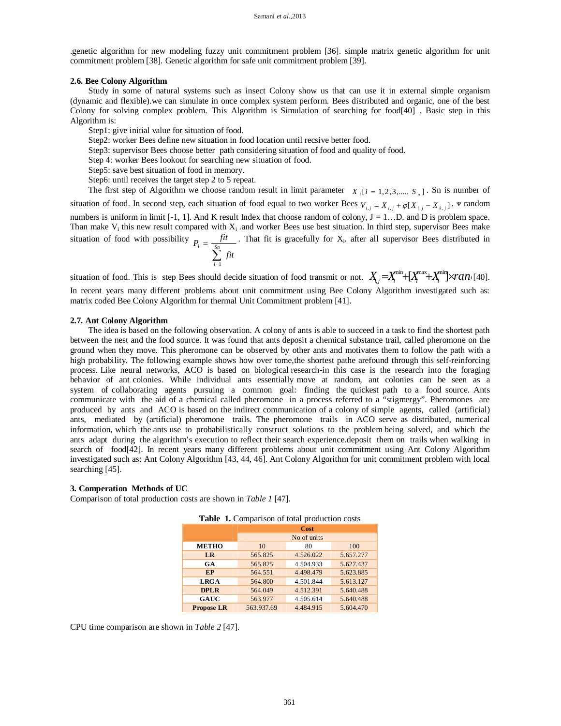.genetic algorithm for new modeling fuzzy unit commitment problem [36]. simple matrix genetic algorithm for unit commitment problem [38]. Genetic algorithm for safe unit commitment problem [39].

### **2.6. Bee Colony Algorithm**

Study in some of natural systems such as insect Colony show us that can use it in external simple organism (dynamic and flexible).we can simulate in once complex system perform. Bees distributed and organic, one of the best Colony for solving complex problem. This Algorithm is Simulation of searching for food[40] . Basic step in this Algorithm is:

Step1: give initial value for situation of food.

Step2: worker Bees define new situation in food location until recsive better food.

Step3: supervisor Bees choose better path considering situation of food and quality of food.

Step 4: worker Bees lookout for searching new situation of food.

Step5: save best situation of food in memory.

Step6: until receives the target step 2 to 5 repeat.

The first step of Algorithm we choose random result in limit parameter  $X_i$  [ $i = 1,2,3,...$   $S_n$ ]. Sn is number of situation of food. In second step, each situation of food equal to two worker Bees  $V_{i,j} = X_{i,j} + \varphi[X_{i,j} - X_{k,j}]$ .  $\Psi$  random numbers is uniform in limit  $[-1, 1]$ . And K result Index that choose random of colony,  $J = 1...D$ . and D is problem space. Than make  $V_i$  this new result compared with  $X_i$  and worker Bees use best situation. In third step, supervisor Bees make situation of food with possibility  $\sum_{i=1}$  $=\frac{S_n}{S_n}$ *i*  $\sum_{i}^{i} f(t)$  $P_i = \frac{fit}{\varsigma_n}$ 1 . That fit is gracefully for  $X_i$  after all supervisor Bees distributed in

situation of food. This is step Bees should decide situation of food transmit or not.  $X_{i,j} = X_i^{\min} + [X_i^{\max} + X_i^{\min}] \times ran[40]$ . In recent years many different problems about unit commitment using Bee Colony Algorithm investigated such as: matrix coded Bee Colony Algorithm for thermal Unit Commitment problem [41].

# **2.7. Ant Colony Algorithm**

The idea is based on the following observation. A colony of ants is able to succeed in a task to find the shortest path between the nest and the food source. It was found that ants deposit a chemical substance trail, called pheromone on the ground when they move. This pheromone can be observed by other ants and motivates them to follow the path with a high probability. The following example shows how over tome,the shortest pathe arefound through this self-reinforcing process. Like neural networks, ACO is based on biological research-in this case is the research into the foraging behavior of ant colonies. While individual ants essentially move at random, ant colonies can be seen as a system of collaborating agents pursuing a common goal: finding the quickest path to a food source. Ants communicate with the aid of a chemical called pheromone in a process referred to a "stigmergy". Pheromones are produced by ants and ACO is based on the indirect communication of a colony of simple agents, called (artificial) ants, mediated by (artificial) pheromone trails. The pheromone trails in ACO serve as distributed, numerical information, which the ants use to probabilistically construct solutions to the problem being solved, and which the ants adapt during the algorithm's execution to reflect their search experience.deposit them on trails when walking in search of food[42]. In recent years many different problems about unit commitment using Ant Colony Algorithm investigated such as: Ant Colony Algorithm [43, 44, 46]. Ant Colony Algorithm for unit commitment problem with local searching [45].

#### **3. Comperation Methods of UC**

Comparison of total production costs are shown in *Table 1* [47].

| <b>rable 1.</b> Comparison of total production costs |                     |           |           |
|------------------------------------------------------|---------------------|-----------|-----------|
|                                                      | Cost<br>No of units |           |           |
|                                                      |                     |           |           |
| <b>METHO</b>                                         | 10                  | 80        | 100       |
| LR                                                   | 565.825             | 4.526.022 | 5.657.277 |
| GA                                                   | 565.825             | 4.504.933 | 5.627.437 |
| EP                                                   | 564.551             | 4.498.479 | 5.623.885 |
| <b>LRGA</b>                                          | 564.800             | 4.501.844 | 5.613.127 |
| <b>DPLR</b>                                          | 564.049             | 4.512.391 | 5.640.488 |
| <b>GAUC</b>                                          | 563.977             | 4.505.614 | 5.640.488 |
| <b>Propose LR</b>                                    | 563.937.69          | 4.484.915 | 5.604.470 |

**Table 1.** Comparison of total production costs

CPU time comparison are shown in *Table 2* [47].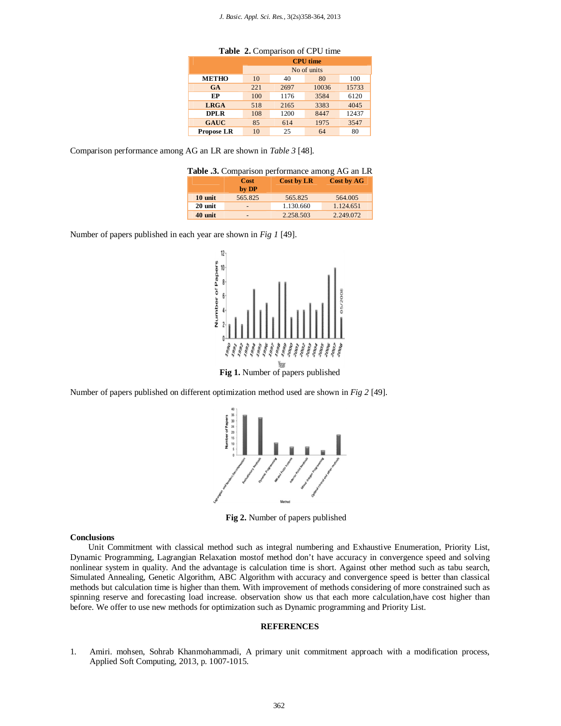| $2.0012 - 2.001$  |                                |      |       |       |
|-------------------|--------------------------------|------|-------|-------|
|                   | <b>CPU</b> time<br>No of units |      |       |       |
|                   |                                |      |       |       |
| <b>METHO</b>      | 10                             | 40   | 80    | 100   |
| <b>GA</b>         | 221                            | 2697 | 10036 | 15733 |
| EP                | 100                            | 1176 | 3584  | 6120  |
| <b>LRGA</b>       | 518                            | 2165 | 3383  | 4045  |
| <b>DPLR</b>       | 108                            | 1200 | 8447  | 12437 |
| <b>GAUC</b>       | 85                             | 614  | 1975  | 3547  |
| <b>Propose LR</b> | 10                             | 25   | 64    | 80    |

**Table 2.** Comparison of CPU time

Comparison performance among AG an LR are shown in *Table 3* [48].

|  | Table .3. Comparison performance among AG an LR |  |
|--|-------------------------------------------------|--|
|  |                                                 |  |

|         | <b>Cost</b><br>by DP     | Cost by LR | Cost by AG |
|---------|--------------------------|------------|------------|
| 10 unit | 565.825                  | 565.825    | 564,005    |
| 20 unit | $\overline{\phantom{0}}$ | 1.130.660  | 1.124.651  |
| 40 unit | $\overline{\phantom{0}}$ | 2.258.503  | 2.249.072  |

Number of papers published in each year are shown in *Fig 1* [49].



Number of papers published on different optimization method used are shown in *Fig 2* [49].



**Fig 2.** Number of papers published

#### **Conclusions**

Unit Commitment with classical method such as integral numbering and Exhaustive Enumeration, Priority List, Dynamic Programming, Lagrangian Relaxation mostof method don't have accuracy in convergence speed and solving nonlinear system in quality. And the advantage is calculation time is short. Against other method such as tabu search, Simulated Annealing, Genetic Algorithm, ABC Algorithm with accuracy and convergence speed is better than classical methods but calculation time is higher than them. With improvement of methods considering of more constrained such as spinning reserve and forecasting load increase. observation show us that each more calculation,have cost higher than before. We offer to use new methods for optimization such as Dynamic programming and Priority List.

### **REFERENCES**

1. Amiri. mohsen, Sohrab Khanmohammadi, A primary unit commitment approach with a modification process, Applied Soft Computing, 2013, p. 1007-1015.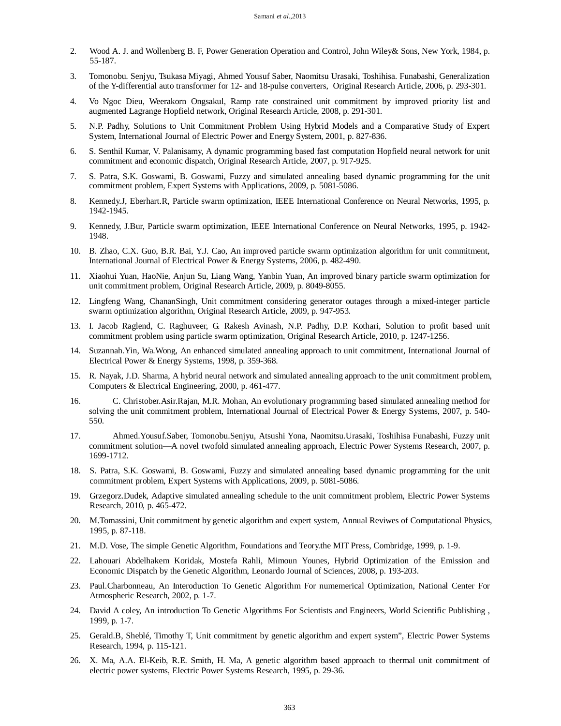- 2. Wood A. J. and Wollenberg B. F, Power Generation Operation and Control, John Wiley& Sons, New York, 1984, p. 55-187.
- 3. Tomonobu. Senjyu, Tsukasa Miyagi, Ahmed Yousuf Saber, Naomitsu Urasaki, Toshihisa. Funabashi, Generalization of the Y-differential auto transformer for 12- and 18-pulse converters, Original Research Article, 2006, p. 293-301.
- 4. Vo Ngoc Dieu, Weerakorn Ongsakul, Ramp rate constrained unit commitment by improved priority list and augmented Lagrange Hopfield network, Original Research Article, 2008, p. 291-301.
- 5. N.P. Padhy, Solutions to Unit Commitment Problem Using Hybrid Models and a Comparative Study of Expert System, International Journal of Electric Power and Energy System, 2001, p. 827-836.
- 6. S. Senthil Kumar, V. Palanisamy, A dynamic programming based fast computation Hopfield neural network for unit commitment and economic dispatch, Original Research Article, 2007, p. 917-925.
- 7. S. Patra, S.K. Goswami, B. Goswami, Fuzzy and simulated annealing based dynamic programming for the unit commitment problem, Expert Systems with Applications, 2009, p. 5081-5086.
- 8. Kennedy.J, Eberhart.R, Particle swarm optimization, IEEE International Conference on Neural Networks, 1995, p. 1942-1945.
- 9. Kennedy, J.Bur, Particle swarm optimization, IEEE International Conference on Neural Networks, 1995, p. 1942- 1948.
- 10. B. Zhao, C.X. Guo, B.R. Bai, Y.J. Cao, An improved particle swarm optimization algorithm for unit commitment, International Journal of Electrical Power & Energy Systems, 2006, p. 482-490.
- 11. Xiaohui Yuan, HaoNie, Anjun Su, Liang Wang, Yanbin Yuan, An improved binary particle swarm optimization for unit commitment problem, Original Research Article, 2009, p. 8049-8055.
- 12. Lingfeng Wang, ChananSingh, Unit commitment considering generator outages through a mixed-integer particle swarm optimization algorithm, Original Research Article, 2009, p. 947-953.
- 13. I. Jacob Raglend, C. Raghuveer, G. Rakesh Avinash, N.P. Padhy, D.P. Kothari, Solution to profit based unit commitment problem using particle swarm optimization, Original Research Article, 2010, p. 1247-1256.
- 14. Suzannah.Yin, Wa.Wong, An enhanced simulated annealing approach to unit commitment, International Journal of Electrical Power & Energy Systems, 1998, p. 359-368.
- 15. R. Nayak, J.D. Sharma, A hybrid neural network and simulated annealing approach to the unit commitment problem, Computers & Electrical Engineering, 2000, p. 461-477.
- 16. C. Christober.Asir.Rajan, M.R. Mohan, An evolutionary programming based simulated annealing method for solving the unit commitment problem, International Journal of Electrical Power & Energy Systems, 2007, p. 540- 550.
- 17. Ahmed.Yousuf.Saber, Tomonobu.Senjyu, Atsushi Yona, Naomitsu.Urasaki, Toshihisa Funabashi, Fuzzy unit commitment solution—A novel twofold simulated annealing approach, Electric Power Systems Research, 2007, p. 1699-1712.
- 18. S. Patra, S.K. Goswami, B. Goswami, Fuzzy and simulated annealing based dynamic programming for the unit commitment problem, Expert Systems with Applications, 2009, p. 5081-5086.
- 19. Grzegorz.Dudek, Adaptive simulated annealing schedule to the unit commitment problem, Electric Power Systems Research, 2010, p. 465-472.
- 20. M.Tomassini, Unit commitment by genetic algorithm and expert system, Annual Reviwes of Computational Physics, 1995, p. 87-118.
- 21. M.D. Vose, The simple Genetic Algorithm, Foundations and Teory.the MIT Press, Combridge, 1999, p. 1-9.
- 22. Lahouari Abdelhakem Koridak, Mostefa Rahli, Mimoun Younes, Hybrid Optimization of the Emission and Economic Dispatch by the Genetic Algorithm, Leonardo Journal of Sciences, 2008, p. 193-203.
- 23. Paul.Charbonneau, An Interoduction To Genetic Algorithm For numemerical Optimization, National Center For Atmospheric Research, 2002, p. 1-7.
- 24. David A coley, An introduction To Genetic Algorithms For Scientists and Engineers, World Scientific Publishing , 1999, p. 1-7.
- 25. Gerald.B, Sheblé, Timothy T, Unit commitment by genetic algorithm and expert system", Electric Power Systems Research, 1994, p. 115-121.
- 26. X. Ma, A.A. El-Keib, R.E. Smith, H. Ma, A genetic algorithm based approach to thermal unit commitment of electric power systems, Electric Power Systems Research, 1995, p. 29-36.